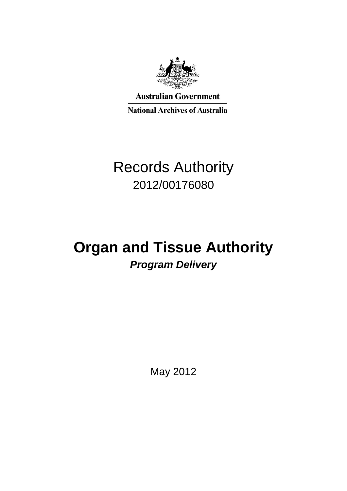

**Australian Government National Archives of Australia** 

# Records Authority 2012/00176080

# **Organ and Tissue Authority** *Program Delivery*

May 2012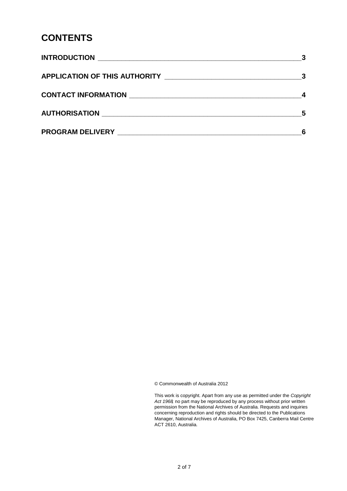### **CONTENTS**

| AUTHORISATION NATION | - 5 |
|----------------------|-----|
|                      |     |

© Commonwealth of Australia 2012

 This work is copyright. Apart from any use as permitted under the *Copyright Act 1968,* no part may be reproduced by any process without prior written permission from the National Archives of Australia. Requests and inquiries concerning reproduction and rights should be directed to the Publications Manager, National Archives of Australia, PO Box 7425, Canberra Mail Centre ACT 2610, Australia.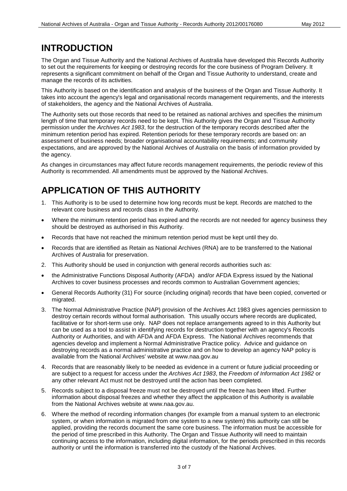### **INTRODUCTION**

 to set out the requirements for keeping or destroying records for the core business of Program Delivery. It represents a significant commitment on behalf of the Organ and Tissue Authority to understand, create and The Organ and Tissue Authority and the National Archives of Australia have developed this Records Authority manage the records of its activities.

 This Authority is based on the identification and analysis of the business of the Organ and Tissue Authority. It takes into account the agency's legal and organisational records management requirements, and the interests of stakeholders, the agency and the National Archives of Australia.

 length of time that temporary records need to be kept. This Authority gives the Organ and Tissue Authority permission under the *Archives Act 1983*, for the destruction of the temporary records described after the The Authority sets out those records that need to be retained as national archives and specifies the minimum minimum retention period has expired. Retention periods for these temporary records are based on: an assessment of business needs; broader organisational accountability requirements; and community expectations, and are approved by the National Archives of Australia on the basis of information provided by the agency.

 Authority is recommended. All amendments must be approved by the National Archives. As changes in circumstances may affect future records management requirements, the periodic review of this

# **APPLICATION OF THIS AUTHORITY**

- 1. This Authority is to be used to determine how long records must be kept. Records are matched to the relevant core business and records class in the Authority.
- Where the minimum retention period has expired and the records are not needed for agency business they should be destroyed as authorised in this Authority.
- Records that have not reached the minimum retention period must be kept until they do.
- Records that are identified as Retain as National Archives (RNA) are to be transferred to the National Archives of Australia for preservation.
- 2. This Authority should be used in conjunction with general records authorities such as:
- the Administrative Functions Disposal Authority (AFDA) and/or AFDA Express issued by the National Archives to cover business processes and records common to Australian Government agencies;
- General Records Authority (31) For source (including original) records that have been copied, converted or migrated.
- facilitative or for short-term use only. NAP does not replace arrangements agreed to in this Authority but can be used as a tool to assist in identifying records for destruction together with an agency's Records destroying records as a normal administrative practice and on how to develop an agency NAP policy is 3. The Normal Administrative Practice (NAP) provision of the Archives Act 1983 gives agencies permission to destroy certain records without formal authorisation. This usually occurs where records are duplicated, Authority or Authorities, and with AFDA and AFDA Express. The National Archives recommends that agencies develop and implement a Normal Administrative Practice policy. Advice and guidance on available from the National Archives' website at www.naa.gov.au
- any other relevant Act must not be destroyed until the action has been completed. 4. Records that are reasonably likely to be needed as evidence in a current or future judicial proceeding or are subject to a request for access under the *Archives Act 1983*, the *Freedom of Information Act 1982* or
- 5. Records subject to a disposal freeze must not be destroyed until the freeze has been lifted. Further information about disposal freezes and whether they affect the application of this Authority is available from the National Archives website at [www.naa.gov.au.](http://www.naa.gov.au/)
- system, or when information is migrated from one system to a new system) this authority can still be authority or until the information is transferred into the custody of the National Archives. 6. Where the method of recording information changes (for example from a manual system to an electronic applied, providing the records document the same core business. The information must be accessible for the period of time prescribed in this Authority. The Organ and Tissue Authority will need to maintain continuing access to the information, including digital information, for the periods prescribed in this records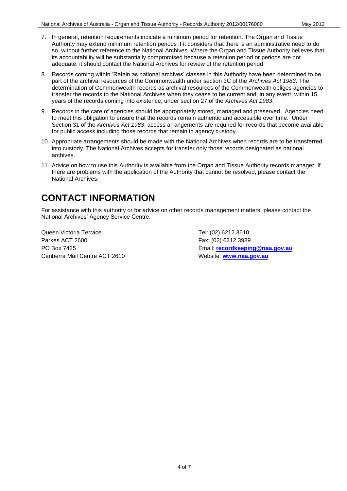- its accountability will be substantially compromised because a retention period or periods are not adequate, it should contact the National Archives for review of the retention period. 7. In general, retention requirements indicate a minimum period for retention. The Organ and Tissue Authority may extend minimum retention periods if it considers that there is an administrative need to do so, without further reference to the National Archives. Where the Organ and Tissue Authority believes that
- part of the archival resources of the Commonwealth under section 3C of the *Archives Act 1983*. The transfer the records to the National Archives when they cease to be current and, in any event, within 15 years of the records coming into existence, under section 27 of the *Archives Act 1983*. 8. Records coming within 'Retain as national archives' classes in this Authority have been determined to be determination of Commonwealth records as archival resources of the Commonwealth obliges agencies to
- 9. Records in the care of agencies should be appropriately stored, managed and preserved. Agencies need to meet this obligation to ensure that the records remain authentic and accessible over time. Under Section 31 of the *Archives Act 1983*, access arrangements are required for records that become available for public access including those records that remain in agency custody.
- 10. Appropriate arrangements should be made with the National Archives when records are to be transferred into custody. The National Archives accepts for transfer only those records designated as national archives.
- 11. Advice on how to use this Authority is available from the Organ and Tissue Authority records manager. If National Archives. there are problems with the application of the Authority that cannot be resolved, please contact the

## **CONTACT INFORMATION**

 National Archives' Agency Service Centre. For assistance with this authority or for advice on other records management matters, please contact the

Queen Victoria Terrace Tel: (02) 6212 3610 Parkes ACT 2600 Fax: (02) 6212 3989 Canberra Mail Centre ACT 2610 Website: www.naa.gov.au

PO Box 7425 Email: **[recordkeeping@naa.gov.au](mailto:recordkeeping@naa.gov.au)**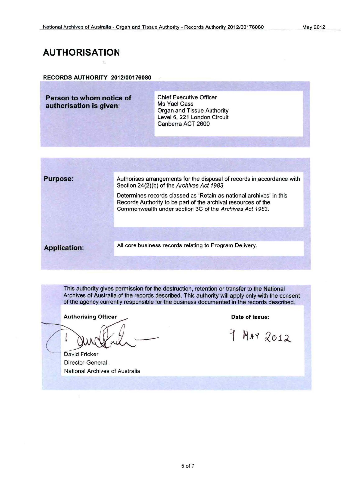#### **AUTHORISATION**

#### RECORDS AUTHORITY 2012/00176080

**Person to whom notice of Chief Executive Officer<br>
<b>Person to whom notice of Chief Executive Officer**<br> **Ms** Yael Cass **authorisation is given:** Ms Yael Cass<br>Organ and Tissue Authority Level 6, 221 London Circuit Canberra ACT 2600

**Purpose:** Authorises arrangements for the disposal of records in accordance with Section 24(2)(b) of the Archives Act 1983

> Determines records classed as 'Retain as national archives' in this Records Authority to be part of the archival resources of the Commonwealth under section 3C of the Archives Act 1983.

All core business records relating to Program Delivery. **Application:** 

This authority gives permission for the destruction, retention or transfer to the National Archives of Australia of the records described. This authority will apply only with the consent of the agency currently responsible for the business documented in the records described.

Authorising Officer **Date of issue:** Date of issue:

**David Fricker** Director-General National Archives of Australia

9 MAY 2012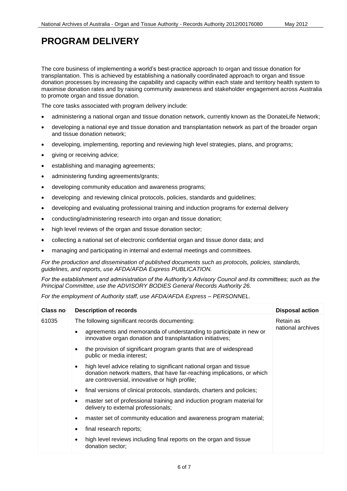The core business of implementing a world's best-practice approach to organ and tissue donation for transplantation. This is achieved by establishing a nationally coordinated approach to organ and tissue donation processes by increasing the capability and capacity within each state and territory health system to maximise donation rates and by raising community awareness and stakeholder engagement across Australia to promote organ and tissue donation.

The core tasks associated with program delivery include:

- administering a national organ and tissue donation network, currently known as the DonateLife Network;
- developing a national eye and tissue donation and transplantation network as part of the broader organ and tissue donation network;
- developing, implementing, reporting and reviewing high level strategies, plans, and programs;
- giving or receiving advice;
- establishing and managing agreements;
- administering funding agreements/grants;
- developing community education and awareness programs;
- developing and reviewing clinical protocols, policies, standards and guidelines;
- developing and evaluating professional training and induction programs for external delivery
- conducting/administering research into organ and tissue donation;
- high level reviews of the organ and tissue donation sector;
- collecting a national set of electronic confidential organ and tissue donor data; and
- managing and participating in internal and external meetings and committees.

 *guidelines, and reports, use AFDA/AFDA Express PUBLICATION. For the production and dissemination of published documents such as protocols, policies, standards,* 

 *Principal Committee, use the ADVISORY BODIES General Records Authority 26. For the establishment and administration of the Authority's Advisory Council and its committees; such as the* 

 *For the employment of Authority staff, use AFDA/AFDA Express – PERSONNEL.* 

| Class no | <b>Description of records</b>                                                                                                                                                                    | <b>Disposal action</b>         |
|----------|--------------------------------------------------------------------------------------------------------------------------------------------------------------------------------------------------|--------------------------------|
| 61035    | The following significant records documenting:                                                                                                                                                   | Retain as<br>national archives |
|          | agreements and memoranda of understanding to participate in new or<br>innovative organ donation and transplantation initiatives;                                                                 |                                |
|          | the provision of significant program grants that are of widespread<br>public or media interest;                                                                                                  |                                |
|          | high level advice relating to significant national organ and tissue<br>donation network matters, that have far-reaching implications, or which<br>are controversial, innovative or high profile; |                                |
|          | final versions of clinical protocols, standards, charters and policies;                                                                                                                          |                                |
|          | master set of professional training and induction program material for<br>delivery to external professionals;                                                                                    |                                |
|          | master set of community education and awareness program material;<br>$\bullet$                                                                                                                   |                                |
|          | final research reports;                                                                                                                                                                          |                                |
|          | high level reviews including final reports on the organ and tissue<br>donation sector;                                                                                                           |                                |